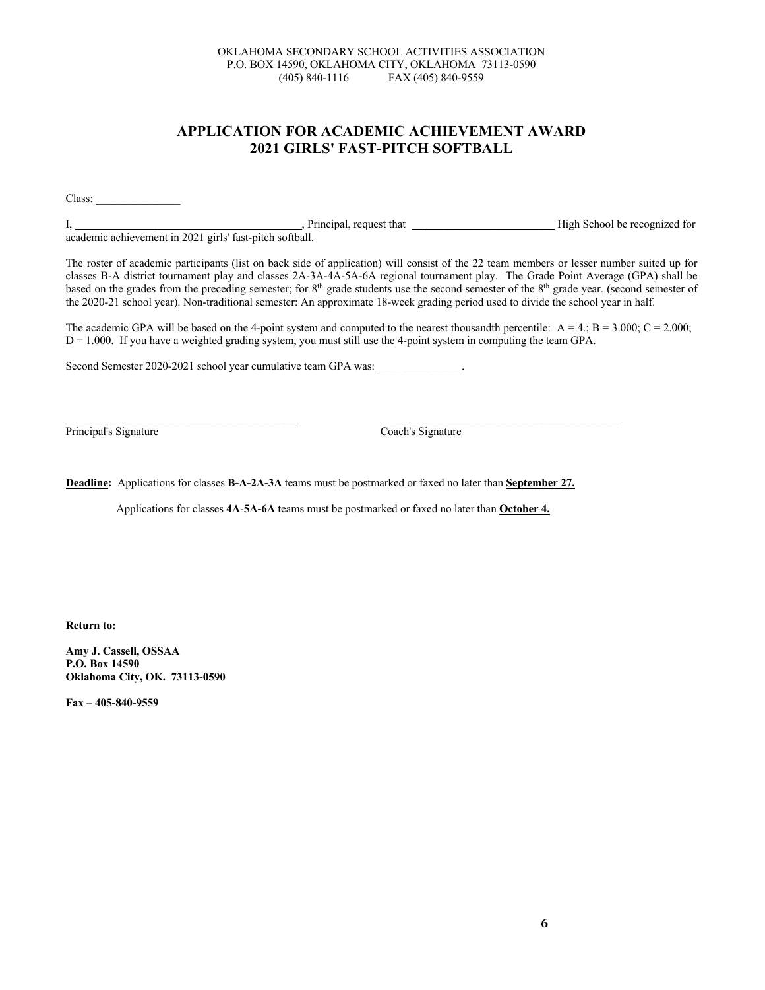## **APPLICATION FOR ACADEMIC ACHIEVEMENT AWARD 2021 GIRLS' FAST-PITCH SOFTBALL**

Class: \_\_\_\_\_\_\_\_\_\_\_\_\_\_\_

I, \_\_\_\_\_\_\_\_\_\_\_\_\_\_\_\_\_\_\_\_\_\_\_\_\_\_, Principal, request that\_ \_\_\_\_\_\_\_\_\_\_\_\_\_\_\_\_\_\_\_\_\_\_\_ High School be recognized for academic achievement in 2021 girls' fast-pitch softball.

The roster of academic participants (list on back side of application) will consist of the 22 team members or lesser number suited up for classes B-A district tournament play and classes 2A-3A-4A-5A-6A regional tournament play. The Grade Point Average (GPA) shall be based on the grades from the preceding semester; for 8<sup>th</sup> grade students use the second semester of the 8<sup>th</sup> grade year. (second semester of the 2020-21 school year). Non-traditional semester: An approximate 18-week grading period used to divide the school year in half.

The academic GPA will be based on the 4-point system and computed to the nearest thousandth percentile:  $A = 4$ ;  $B = 3.000$ ;  $C = 2.000$ ;  $D = 1.000$ . If you have a weighted grading system, you must still use the 4-point system in computing the team GPA.

Second Semester 2020-2021 school year cumulative team GPA was:

Principal's Signature Coach's Signature Coach's Signature

**Deadline:** Applications for classes **B-A-2A-3A** teams must be postmarked or faxed no later than **September 27.**

Applications for classes **4A**-**5A-6A** teams must be postmarked or faxed no later than **October 4.**

 $\_$  , and the set of the set of the set of the set of the set of the set of the set of the set of the set of the set of the set of the set of the set of the set of the set of the set of the set of the set of the set of th

**Return to:**

**Amy J. Cassell, OSSAA P.O. Box 14590 Oklahoma City, OK. 73113-0590**

**Fax – 405-840-9559**